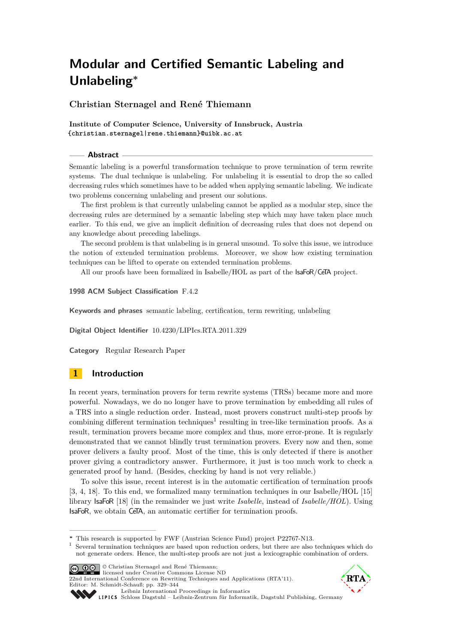<span id="page-0-0"></span>**Christian Sternagel and René Thiemann**

**Institute of Computer Science, University of Innsbruck, Austria {christian.sternagel|rene.thiemann}@uibk.ac.at**

#### **Abstract**

Semantic labeling is a powerful transformation technique to prove termination of term rewrite systems. The dual technique is unlabeling. For unlabeling it is essential to drop the so called decreasing rules which sometimes have to be added when applying semantic labeling. We indicate two problems concerning unlabeling and present our solutions.

The first problem is that currently unlabeling cannot be applied as a modular step, since the decreasing rules are determined by a semantic labeling step which may have taken place much earlier. To this end, we give an implicit definition of decreasing rules that does not depend on any knowledge about preceding labelings.

The second problem is that unlabeling is in general unsound. To solve this issue, we introduce the notion of extended termination problems. Moreover, we show how existing termination techniques can be lifted to operate on extended termination problems.

All our proofs have been formalized in Isabelle/HOL as part of the IsaFoR/CeTA project.

#### **1998 ACM Subject Classification** F.4.2

**Keywords and phrases** semantic labeling, certification, term rewriting, unlabeling

**Digital Object Identifier** [10.4230/LIPIcs.RTA.2011.329](http://dx.doi.org/10.4230/LIPIcs.RTA.2011.329)

**Category** Regular Research Paper

# **1 Introduction**

In recent years, termination provers for term rewrite systems (TRSs) became more and more powerful. Nowadays, we do no longer have to prove termination by embedding all rules of a TRS into a single reduction order. Instead, most provers construct multi-step proofs by combining different termination techniques<sup>1</sup> resulting in tree-like termination proofs. As a result, termination provers became more complex and thus, more error-prone. It is regularly demonstrated that we cannot blindly trust termination provers. Every now and then, some prover delivers a faulty proof. Most of the time, this is only detected if there is another prover giving a contradictory answer. Furthermore, it just is too much work to check a generated proof by hand. (Besides, checking by hand is not very reliable.)

To solve this issue, recent interest is in the automatic certification of termination proofs [\[3,](#page-15-0) [4,](#page-15-1) [18\]](#page-15-2). To this end, we formalized many termination techniques in our Isabelle/HOL [\[15\]](#page-15-3) library IsaFoR [\[18\]](#page-15-2) (in the remainder we just write *Isabelle*, instead of *Isabelle/HOL*). Using IsaFoR, we obtain CeTA, an automatic certifier for termination proofs.

<sup>&</sup>lt;sup>1</sup> Several termination techniques are based upon reduction orders, but there are also techniques which do not generate orders. Hence, the multi-step proofs are not just a lexicographic combination of orders.



© Christian Sternagel and René Thiemann; licensed under Creative Commons License ND 22nd International Conference on Rewriting Techniques and Applications (RTA'11).

Editor: M. Schmidt-Schauß; pp. 329[–344](#page-15-4)



[Leibniz International Proceedings in Informatics](http://www.dagstuhl.de/lipics/)

Leibniz international Froceedings in missimosischer Magstuhl Publishing, Germany<br>LIPICS [Schloss Dagstuhl – Leibniz-Zentrum für Informatik, Dagstuhl Publishing, Germany](http://www.dagstuhl.de)

**<sup>∗</sup>** This research is supported by FWF (Austrian Science Fund) project P22767-N13.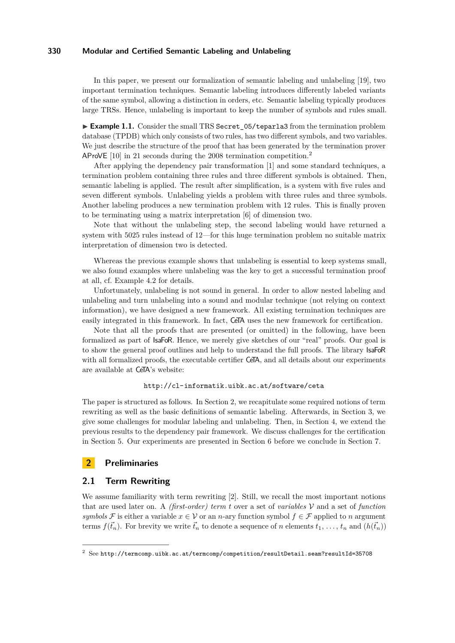In this paper, we present our formalization of semantic labeling and unlabeling [\[19\]](#page-15-5), two important termination techniques. Semantic labeling introduces differently labeled variants of the same symbol, allowing a distinction in orders, etc. Semantic labeling typically produces large TRSs. Hence, unlabeling is important to keep the number of symbols and rules small.

► Example 1.1. Consider the small TRS Secret 05/teparla3 from the termination problem database (TPDB) which only consists of two rules, has two different symbols, and two variables. We just describe the structure of the proof that has been generated by the termination prover AProVE [\[10\]](#page-15-6) in 21 seconds during the 2008 termination competition.<sup>2</sup>

After applying the dependency pair transformation [\[1\]](#page-15-7) and some standard techniques, a termination problem containing three rules and three different symbols is obtained. Then, semantic labeling is applied. The result after simplification, is a system with five rules and seven different symbols. Unlabeling yields a problem with three rules and three symbols. Another labeling produces a new termination problem with 12 rules. This is finally proven to be terminating using a matrix interpretation [\[6\]](#page-15-8) of dimension two.

Note that without the unlabeling step, the second labeling would have returned a system with 5025 rules instead of 12—for this huge termination problem no suitable matrix interpretation of dimension two is detected.

Whereas the previous example shows that unlabeling is essential to keep systems small, we also found examples where unlabeling was the key to get a successful termination proof at all, cf. Example [4.2](#page-9-0) for details.

Unfortunately, unlabeling is not sound in general. In order to allow nested labeling and unlabeling and turn unlabeling into a sound and modular technique (not relying on context information), we have designed a new framework. All existing termination techniques are easily integrated in this framework. In fact, CeTA uses the new framework for certification.

Note that all the proofs that are presented (or omitted) in the following, have been formalized as part of IsaFoR. Hence, we merely give sketches of our "real" proofs. Our goal is to show the general proof outlines and help to understand the full proofs. The library IsaFoR with all formalized proofs, the executable certifier CeTA, and all details about our experiments are available at CeTA's website:

## <http://cl-informatik.uibk.ac.at/software/ceta>

The paper is structured as follows. In Section [2,](#page-1-0) we recapitulate some required notions of term rewriting as well as the basic definitions of semantic labeling. Afterwards, in Section [3,](#page-3-0) we give some challenges for modular labeling and unlabeling. Then, in Section [4,](#page-9-1) we extend the previous results to the dependency pair framework. We discuss challenges for the certification in Section [5.](#page-12-0) Our experiments are presented in Section [6](#page-14-0) before we conclude in Section [7.](#page-14-1)

# <span id="page-1-0"></span>**2 Preliminaries**

# **2.1 Term Rewriting**

We assume familiarity with term rewriting [\[2\]](#page-15-9). Still, we recall the most important notions that are used later on. A *(first-order) term t* over a set of *variables* V and a set of *function symbols* F is either a variable  $x \in V$  or an *n*-ary function symbol  $f \in \mathcal{F}$  applied to *n* argument terms  $f(\vec{t}_n)$ . For brevity we write  $\vec{t}_n$  to denote a sequence of *n* elements  $t_1, \ldots, t_n$  and  $(h(\vec{t}_n))$ 

 $2^{2}$  See <http://termcomp.uibk.ac.at/termcomp/competition/resultDetail.seam?resultId=35708>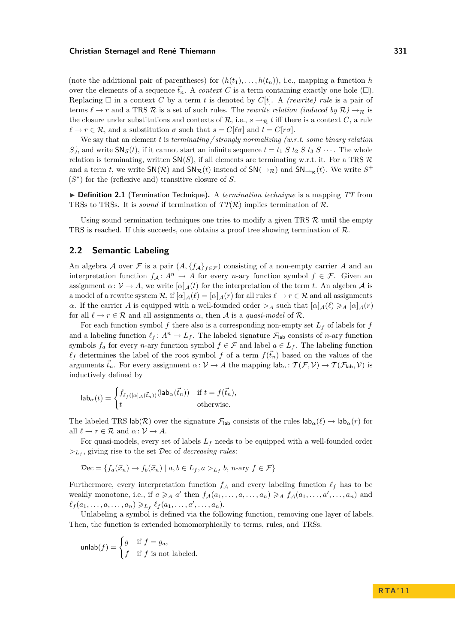(note the additional pair of parentheses) for  $(h(t_1), \ldots, h(t_n))$ , i.e., mapping a function *h* over the elements of a sequence  $\vec{t}_n$ . A *context* C is a term containing exactly one hole  $(\Box)$ . Replacing  $\Box$  in a context C by a term *t* is denoted by  $C[t]$ . A *(rewrite) rule* is a pair of terms  $\ell \to r$  and a TRS R is a set of such rules. The *rewrite relation (induced by*  $\mathcal{R}$ )  $\to_{\mathcal{R}}$  is the closure under substitutions and contexts of  $\mathcal{R}$ , i.e.,  $s \to \mathcal{R} t$  iff there is a context *C*, a rule  $\ell \to r \in \mathcal{R}$ , and a substitution  $\sigma$  such that  $s = C[\ell \sigma]$  and  $t = C[r\sigma]$ .

We say that an element *t* is *terminating / strongly normalizing (w.r.t. some binary relation S*), and write  $\text{SN}_S(t)$ , if it cannot start an infinite sequence  $t = t_1 S t_2 S t_3 S \cdots$ . The whole relation is terminating, written  $SN(S)$ , if all elements are terminating w.r.t. it. For a TRS  $\mathcal{R}$ and a term *t*, we write  $SN(R)$  and  $SN_R(t)$  instead of  $SN(\rightarrow_R)$  and  $SN_{\rightarrow_R}(t)$ . We write  $S^+$  $(S^*)$  for the (reflexive and) transitive closure of *S*.

▶ **Definition 2.1** (Termination Technique). A *termination technique* is a mapping *TT* from TRSs to TRSs. It is *sound* if termination of  $TT(\mathcal{R})$  implies termination of  $\mathcal{R}$ .

Using sound termination techniques one tries to modify a given TRS  $\mathcal{R}$  until the empty TRS is reached. If this succeeds, one obtains a proof tree showing termination of  $\mathcal{R}$ .

## **2.2 Semantic Labeling**

An algebra A over F is a pair  $(A, \{f_A\}_{f \in \mathcal{F}})$  consisting of a non-empty carrier A and an interpretation function  $f_A: A^n \to A$  for every *n*-ary function symbol  $f \in \mathcal{F}$ . Given an assignment  $\alpha: \mathcal{V} \to A$ , we write  $[\alpha]_{\mathcal{A}}(t)$  for the interpretation of the term *t*. An algebra  $\mathcal{A}$  is a model of a rewrite system  $\mathcal{R}$ , if  $[\alpha]_{\mathcal{A}}(\ell) = [\alpha]_{\mathcal{A}}(r)$  for all rules  $\ell \to r \in \mathcal{R}$  and all assignments *α*. If the carrier *A* is equipped with a well-founded order  $>$ *A* such that  $[\alpha]_A(\ell) \geq \alpha$   $[\alpha]_A(r)$ for all  $\ell \to r \in \mathcal{R}$  and all assignments  $\alpha$ , then A is a *quasi-model* of R.

For each function symbol  $f$  there also is a corresponding non-empty set  $L_f$  of labels for  $f$ and a labeling function  $\ell_f : A^n \to L_f$ . The labeled signature  $\mathcal{F}_{\text{lab}}$  consists of *n*-ary function symbols  $f_a$  for every *n*-ary function symbol  $f \in \mathcal{F}$  and label  $a \in L_f$ . The labeling function  $\ell_f$  determines the label of the root symbol *f* of a term  $f(\vec{t}_n)$  based on the values of the arguments  $\vec{t}_n$ . For every assignment  $\alpha: \mathcal{V} \to A$  the mapping  $\mathsf{lab}_\alpha: \mathcal{T}(\mathcal{F}, \mathcal{V}) \to \mathcal{T}(\mathcal{F}_{\mathsf{lab}}, \mathcal{V})$  is inductively defined by

$$
\mathsf{lab}_{\alpha}(t) = \begin{cases} f_{\ell_f([\alpha]_{\mathcal{A}}(\vec{t}_n))}(\mathsf{lab}_{\alpha}(\vec{t}_n)) & \text{if } t = f(\vec{t}_n), \\ t & \text{otherwise.} \end{cases}
$$

The labeled TRS lab( $\mathcal{R}$ ) over the signature  $\mathcal{F}_{\text{lab}}$  consists of the rules  $\text{lab}_{\alpha}(\ell) \rightarrow \text{lab}_{\alpha}(r)$  for all  $\ell \to r \in \mathcal{R}$  and  $\alpha \colon \mathcal{V} \to A$ .

For quasi-models, every set of labels *L<sup>f</sup>* needs to be equipped with a well-founded order *><sup>L</sup><sup>f</sup>* , giving rise to the set Dec of *decreasing rules*:

$$
\mathcal{D}\mathbf{ec} = \{ f_a(\vec{x}_n) \to f_b(\vec{x}_n) \mid a, b \in L_f, a >_{L_f} b, n\text{-ary } f \in \mathcal{F} \}
$$

Furthermore, every interpretation function  $f_A$  and every labeling function  $\ell_f$  has to be weakly monotone, i.e., if  $a \geq A$  *a*' then  $f_A(a_1, \ldots, a, \ldots, a_n) \geq A$   $f_A(a_1, \ldots, a', \ldots, a_n)$  and  $\ell_f(a_1, \ldots, a, \ldots, a_n) \geq \ell_f(a_1, \ldots, a', \ldots, a_n).$ 

Unlabeling a symbol is defined via the following function, removing one layer of labels. Then, the function is extended homomorphically to terms, rules, and TRSs.

$$
\text{unlab}(f) = \begin{cases} g & \text{if } f = g_a, \\ f & \text{if } f \text{ is not labeled.} \end{cases}
$$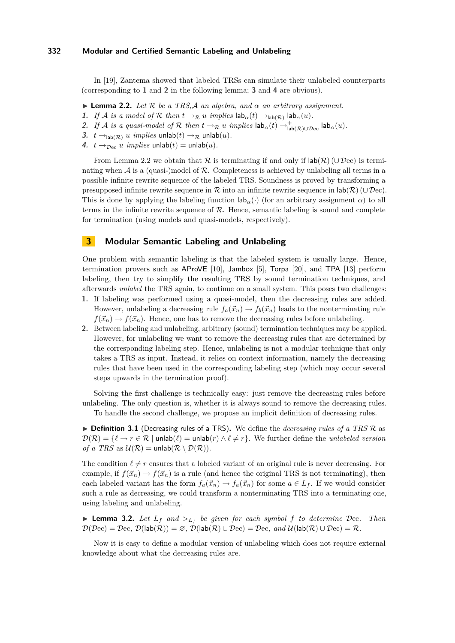In [\[19\]](#page-15-5), Zantema showed that labeled TRSs can simulate their unlabeled counterparts (corresponding to **[1](#page-3-1)** and **[2](#page-3-2)** in the following lemma; **[3](#page-3-3)** and **[4](#page-3-4)** are obvious).

- <span id="page-3-5"></span>**Lemma 2.2.** *Let*  $\mathcal{R}$  *be a TRS.A an algebra, and*  $\alpha$  *an arbitrary assignment.*
- <span id="page-3-1"></span>**1.** *If* A *is a model of* R *then*  $t \to \mathbb{R}$  *u implies*  $\textsf{lab}_{\alpha}(t) \to_{\textsf{lab}(\mathcal{R})} \textsf{lab}_{\alpha}(u)$ *.*
- <span id="page-3-2"></span>2. *If A is a quasi-model of*  $\mathcal R$  *then*  $t \to_{\mathcal R} u$  *implies*  $\textsf{lab}_{\alpha}(t) \to_{\textsf{lab}(\mathcal R) \cup \mathcal D \text{ec}}^{\textsf{L}} \textsf{lab}_{\alpha}(u)$ .
- <span id="page-3-3"></span>**3.**  $t \rightarrow_{\text{lab}(\mathcal{R})} u$  *implies* unlab $(t) \rightarrow_{\mathcal{R}}$  unlab $(u)$ .
- <span id="page-3-4"></span>**4.**  $t \rightarrow_{\text{Dec}} u \text{ implies } \text{unlab}(t) = \text{unlab}(u).$

From Lemma [2.2](#page-3-5) we obtain that R is terminating if and only if  $\text{lab}(\mathcal{R})$  (∪ Dec) is terminating when  $A$  is a (quasi-)model of  $R$ . Completeness is achieved by unlabeling all terms in a possible infinite rewrite sequence of the labeled TRS. Soundness is proved by transforming a presupposed infinite rewrite sequence in R into an infinite rewrite sequence in  $\mathsf{lab}(\mathcal{R})$  (∪ Dec). This is done by applying the labeling function  $\mathsf{lab}_\alpha(\cdot)$  (for an arbitrary assignment  $\alpha$ ) to all terms in the infinite rewrite sequence of  $R$ . Hence, semantic labeling is sound and complete for termination (using models and quasi-models, respectively).

## <span id="page-3-0"></span>**3 Modular Semantic Labeling and Unlabeling**

One problem with semantic labeling is that the labeled system is usually large. Hence, termination provers such as AProVE [\[10\]](#page-15-6), Jambox [\[5\]](#page-15-10), Torpa [\[20\]](#page-15-11), and TPA [\[13\]](#page-15-12) perform labeling, then try to simplify the resulting TRS by sound termination techniques, and afterwards *unlabel* the TRS again, to continue on a small system. This poses two challenges:

- **1.** If labeling was performed using a quasi-model, then the decreasing rules are added. However, unlabeling a decreasing rule  $f_a(\vec{x}_n) \to f_b(\vec{x}_n)$  leads to the nonterminating rule  $f(\vec{x}_n) \rightarrow f(\vec{x}_n)$ . Hence, one has to remove the decreasing rules before unlabeling.
- **2.** Between labeling and unlabeling, arbitrary (sound) termination techniques may be applied. However, for unlabeling we want to remove the decreasing rules that are determined by the corresponding labeling step. Hence, unlabeling is not a modular technique that only takes a TRS as input. Instead, it relies on context information, namely the decreasing rules that have been used in the corresponding labeling step (which may occur several steps upwards in the termination proof).

Solving the first challenge is technically easy: just remove the decreasing rules before unlabeling. The only question is, whether it is always sound to remove the decreasing rules.

To handle the second challenge, we propose an implicit definition of decreasing rules.

<span id="page-3-6"></span>▶ **Definition 3.1** (Decreasing rules of a TRS). We define the *decreasing rules of a TRS* R as  $\mathcal{D}(\mathcal{R}) = \{ \ell \to r \in \mathcal{R} \mid \text{unlab}(\ell) = \text{unlab}(r) \land \ell \neq r \}.$  We further define the *unlabeled version of a TRS* as  $U(\mathcal{R}) = \text{unlab}(\mathcal{R} \setminus \mathcal{D}(\mathcal{R})).$ 

The condition  $\ell \neq r$  ensures that a labeled variant of an original rule is never decreasing. For example, if  $f(\vec{x}_n) \to f(\vec{x}_n)$  is a rule (and hence the original TRS is not terminating), then each labeled variant has the form  $f_a(\vec{x}_n) \to f_a(\vec{x}_n)$  for some  $a \in L_f$ . If we would consider such a rule as decreasing, we could transform a nonterminating TRS into a terminating one, using labeling and unlabeling.

<span id="page-3-7"></span>**Example 12.** Let  $L_f$  and  $>L_f$  be given for each symbol f to determine Dec. Then  $\mathcal{D}(\mathcal{D}ec) = \mathcal{D}ec$ ,  $\mathcal{D}(lab(\mathcal{R})) = \varnothing$ ,  $\mathcal{D}(lab(\mathcal{R}) \cup \mathcal{D}ec) = \mathcal{D}ec$ , and  $\mathcal{U}(lab(\mathcal{R}) \cup \mathcal{D}ec) = \mathcal{R}$ .

Now it is easy to define a modular version of unlabeling which does not require external knowledge about what the decreasing rules are.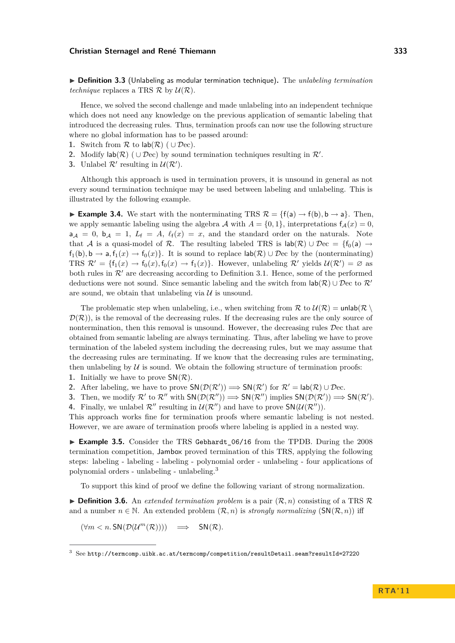I **Definition 3.3** (Unlabeling as modular termination technique)**.** The *unlabeling termination technique* replaces a TRS  $\mathcal{R}$  by  $\mathcal{U}(\mathcal{R})$ .

Hence, we solved the second challenge and made unlabeling into an independent technique which does not need any knowledge on the previous application of semantic labeling that introduced the decreasing rules. Thus, termination proofs can now use the following structure where no global information has to be passed around:

- **1.** Switch from  $\mathcal{R}$  to  $\mathsf{lab}(\mathcal{R})$  (  $\cup \mathcal{D}\text{ec}$ ).
- **2.** Modify  $\text{lab}(\mathcal{R})$  ( $\cup$   $\mathcal{D}$ ec) by sound termination techniques resulting in  $\mathcal{R}'$ .
- **3.** Unlabel  $\mathcal{R}'$  resulting in  $\mathcal{U}(\mathcal{R}')$ .

Although this approach is used in termination provers, it is unsound in general as not every sound termination technique may be used between labeling and unlabeling. This is illustrated by the following example.

<span id="page-4-1"></span>**Example 3.4.** We start with the nonterminating TRS  $\mathcal{R} = \{f(a) \rightarrow f(b), b \rightarrow a\}$ . Then, we apply semantic labeling using the algebra  $A$  with  $A = \{0, 1\}$ , interpretations  $f_A(x) = 0$ ,  $a_{\mathcal{A}} = 0$ ,  $b_{\mathcal{A}} = 1$ ,  $L_f = A$ ,  $\ell_f(x) = x$ , and the standard order on the naturals. Note that A is a quasi-model of R. The resulting labeled TRS is  $\text{lab}(\mathcal{R}) \cup \mathcal{D}ec = \{f_0(a) \rightarrow$  $f_1(b), b \to a, f_1(x) \to f_0(x)$ . It is sound to replace  $\text{lab}(\mathcal{R}) \cup \mathcal{D}$ ec by the (nonterminating) TRS  $\mathcal{R}' = \{f_1(x) \to f_0(x), f_0(x) \to f_1(x)\}\$ . However, unlabeling  $\mathcal{R}'$  yields  $\mathcal{U}(\mathcal{R}') = \emptyset$  as both rules in  $\mathcal{R}'$  are decreasing according to Definition [3.1.](#page-3-6) Hence, some of the performed deductions were not sound. Since semantic labeling and the switch from  $\text{lab}(\mathcal{R}) \cup \mathcal{D}$ ec to  $\mathcal{R}'$ are sound, we obtain that unlabeling via  $\mathcal U$  is unsound.

The problematic step when unlabeling, i.e., when switching from  $\mathcal R$  to  $\mathcal U(\mathcal R) = \text{unlab}(\mathcal R)$  $\mathcal{D}(\mathcal{R})$ , is the removal of the decreasing rules. If the decreasing rules are the only source of nontermination, then this removal is unsound. However, the decreasing rules Dec that are obtained from semantic labeling are always terminating. Thus, after labeling we have to prove termination of the labeled system including the decreasing rules, but we may assume that the decreasing rules are terminating. If we know that the decreasing rules are terminating, then unlabeling by  $U$  is sound. We obtain the following structure of termination proofs:

- **1.** Initially we have to prove  $\mathsf{SN}(\mathcal{R})$ .
- **2.** After labeling, we have to prove  $SN(\mathcal{D}(\mathcal{R}')) \Longrightarrow SN(\mathcal{R}')$  for  $\mathcal{R}' = \text{lab}(\mathcal{R}) \cup \mathcal{D}$ ec.
- **3.** Then, we modify  $\mathcal{R}'$  to  $\mathcal{R}''$  with  $SN(\mathcal{D}(\mathcal{R}'')) \Longrightarrow SN(\mathcal{R}'')$  implies  $SN(\mathcal{D}(\mathcal{R}')) \Longrightarrow SN(\mathcal{R}'.$
- **4.** Finally, we unlabel  $\mathcal{R}''$  resulting in  $\mathcal{U}(\mathcal{R}'')$  and have to prove  $\mathsf{SN}(\mathcal{U}(\mathcal{R}''))$ .

This approach works fine for termination proofs where semantic labeling is not nested. However, we are aware of termination proofs where labeling is applied in a nested way.

<span id="page-4-2"></span>► Example 3.5. Consider the TRS Gebhardt\_06/16 from the TPDB. During the 2008 termination competition, Jambox proved termination of this TRS, applying the following steps: labeling - labeling - labeling - polynomial order - unlabeling - four applications of polynomial orders - unlabeling - unlabeling.<sup>3</sup>

To support this kind of proof we define the following variant of strong normalization.

<span id="page-4-0"></span> $\triangleright$  **Definition 3.6.** An *extended termination problem* is a pair  $(\mathcal{R}, n)$  consisting of a TRS  $\mathcal{R}$ and a number  $n \in \mathbb{N}$ . An extended problem  $(\mathcal{R}, n)$  is *strongly normalizing*  $(SN(\mathcal{R}, n))$  iff

$$
(\forall m < n. \mathsf{SN}(\mathcal{D}(\mathcal{U}^m(\mathcal{R})))) \implies \mathsf{SN}(\mathcal{R}).
$$

 $3$  See <http://termcomp.uibk.ac.at/termcomp/competition/resultDetail.seam?resultId=27220>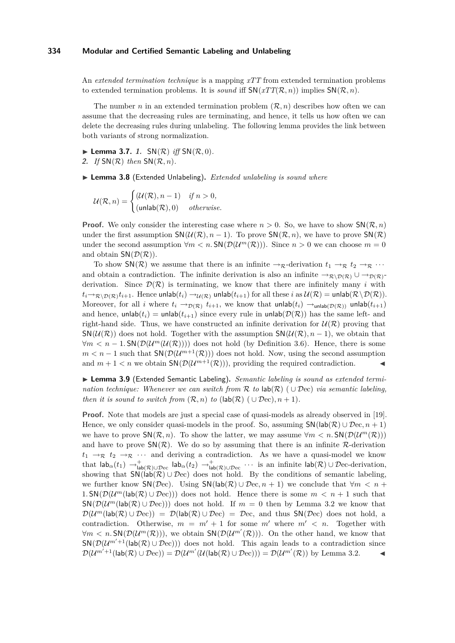An *extended termination technique* is a mapping *xTT* from extended termination problems to extended termination problems. It is *sound* iff  $SN(xTT(\mathcal{R}, n))$  implies  $SN(\mathcal{R}, n)$ .

The number *n* in an extended termination problem  $(\mathcal{R}, n)$  describes how often we can assume that the decreasing rules are terminating, and hence, it tells us how often we can delete the decreasing rules during unlabeling. The following lemma provides the link between both variants of strong normalization.

<span id="page-5-1"></span><span id="page-5-0"></span> $\blacktriangleright$  **Lemma 3.7.** 1.  $SN(\mathcal{R})$  *iff*  $SN(\mathcal{R}, 0)$ *.* **2.** *If* SN(R) *then* SN(R*, n*)*.*

▶ Lemma 3.8 (Extended Unlabeling). *Extended unlabeling is sound where* 

 $\mathcal{U}(\mathcal{R}, n) = \begin{cases} (\mathcal{U}(\mathcal{R}), n-1) & \text{if } n > 0, \end{cases}$  $(\textsf{unlab}(\mathcal{R}), 0)$  *otherwise.* 

**Proof.** We only consider the interesting case where  $n > 0$ . So, we have to show  $\mathsf{SN}(\mathcal{R}, n)$ under the first assumption  $SN(\mathcal{U}(\mathcal{R}), n-1)$ . To prove  $SN(\mathcal{R}, n)$ , we have to prove  $SN(\mathcal{R})$ under the second assumption  $\forall m < n$ .  $\text{SN}(\mathcal{D}(\mathcal{U}^m(\mathcal{R})))$ . Since  $n > 0$  we can choose  $m = 0$ and obtain  $SN(\mathcal{D}(\mathcal{R}))$ .

To show  $\mathsf{SN}(\mathcal{R})$  we assume that there is an infinite  $\rightarrow_{\mathcal{R}}$ -derivation  $t_1 \rightarrow_{\mathcal{R}} t_2 \rightarrow_{\mathcal{R}} \cdots$ and obtain a contradiction. The infinite derivation is also an infinite  $\rightarrow_{\mathcal{R}\setminus\mathcal{D}(\mathcal{R})}\cup\rightarrow_{\mathcal{D}(\mathcal{R})}$ derivation. Since  $\mathcal{D}(\mathcal{R})$  is terminating, we know that there are infinitely many *i* with  $t_i{\to}_{{\mathcal R}\setminus {\mathcal D}({\mathcal R})} t_{i+1}.$  Hence unlab $(t_i)\to_{\mathcal U({\mathcal R})}$  unlab $(t_{i+1})$  for all these  $i$  as  $\mathcal U({\mathcal R})=$  unlab $({\mathcal R}\setminus {\mathcal D}({\mathcal R})).$ Moreover, for all *i* where  $t_i \to_{\mathcal{D}(\mathcal{R})} t_{i+1}$ , we know that  $\text{unlab}(t_i) \to_{\text{unlab}(\mathcal{D}(\mathcal{R}))} \text{unlab}(t_{i+1})$ and hence,  $\text{unlab}(t_i) = \text{unlab}(t_{i+1})$  since every rule in  $\text{unlab}(\mathcal{D}(\mathcal{R}))$  has the same left- and right-hand side. Thus, we have constructed an infinite derivation for  $\mathcal{U}(\mathcal{R})$  proving that  $\mathsf{SN}(\mathcal{U}(\mathcal{R}))$  does not hold. Together with the assumption  $\mathsf{SN}(\mathcal{U}(\mathcal{R}), n-1)$ , we obtain that  $\forall m < n - 1$ . SN( $\mathcal{D}(\mathcal{U}^m(\mathcal{U}(\mathcal{R}))))$  does not hold (by Definition [3.6\)](#page-4-0). Hence, there is some  $m < n - 1$  such that  $\mathsf{SN}(\mathcal{D}(\mathcal{U}^{m+1}(\mathcal{R})))$  does not hold. Now, using the second assumption and  $m + 1 < n$  we obtain  $\mathsf{SN}(\mathcal{D}(\mathcal{U}^{m+1}(\mathcal{R})))$ , providing the required contradiction.

<span id="page-5-2"></span>▶ Lemma 3.9 (Extended Semantic Labeling). Semantic labeling is sound as extended termi*nation technique: Whenever we can switch from* R *to* lab(R) ( ∪ Dec) *via semantic labeling, then it is sound to switch from*  $(\mathcal{R}, n)$  *to*  $(\text{lab}(\mathcal{R}) \cup \mathcal{D}ec), n + 1)$ *.* 

**Proof.** Note that models are just a special case of quasi-models as already observed in [\[19\]](#page-15-5). Hence, we only consider quasi-models in the proof. So, assuming  $\mathsf{SN}(\mathsf{lab}(\mathcal{R}) \cup \mathcal{D}\mathsf{ec}, n+1)$ we have to prove  $\mathsf{SN}(\mathcal{R}, n)$ . To show the latter, we may assume  $\forall m < n$ .  $\mathsf{SN}(\mathcal{D}(\mathcal{U}^m(\mathcal{R})))$ and have to prove  $SN(\mathcal{R})$ . We do so by assuming that there is an infinite  $\mathcal{R}$ -derivation  $t_1 \rightarrow_{\mathcal{R}} t_2 \rightarrow_{\mathcal{R}} \cdots$  and deriving a contradiction. As we have a quasi-model we know that  $\mathsf{lab}_\alpha(t_1) \to_{\mathsf{lab}(\mathcal{R}) \cup \mathcal{D}\text{ec}}^+$  lab $_\alpha(t_2) \to_{\mathsf{lab}(\mathcal{R}) \cup \mathcal{D}\text{ec}}^+$  · · · is an infinite  $\mathsf{lab}(\mathcal{R}) \cup \mathcal{D}\text{ec-derivation}$ , showing that  $\mathsf{SN}(\mathsf{lab}(\mathcal{R}) \cup \mathcal{D}\mathsf{ec})$  does not hold. By the conditions of semantic labeling, we further know  $\mathsf{SN}(\mathcal{D}\text{ec})$ . Using  $\mathsf{SN}(\mathsf{lab}(\mathcal{R}) \cup \mathcal{D}\text{ec}, n+1)$  we conclude that  $\forall m \leq n+1$ 1.  $\mathsf{SN}(\mathcal{D}(\mathcal{U}^m(\mathsf{lab}(\mathcal{R})\cup \mathcal{D}\mathrm{ec})))$  does not hold. Hence there is some  $m < n+1$  such that  $\mathsf{SN}(\mathcal{D}(\mathcal{U}^m(\mathsf{lab}(\mathcal{R})\cup\mathcal{D}\mathrm{ec})))$  does not hold. If  $m=0$  then by Lemma [3.2](#page-3-7) we know that  $\mathcal{D}(\mathcal{U}^m(\textsf{lab}(\mathcal{R}) \cup \mathcal{D}\text{ec})) = \mathcal{D}(\textsf{lab}(\mathcal{R}) \cup \mathcal{D}\text{ec}) = \mathcal{D}\text{ec}$ , and thus  $\mathsf{SN}(\mathcal{D}\text{ec})$  does not hold, a contradiction. Otherwise,  $m = m' + 1$  for some  $m'$  where  $m' < n$ . Together with  $\forall m \leq n$ . SN( $\mathcal{D}(\mathcal{U}^m(\mathcal{R})))$ , we obtain SN( $\mathcal{D}(\mathcal{U}^{m'}(\mathcal{R})))$ . On the other hand, we know that  $\mathsf{SN}(\mathcal{D}(\mathcal{U}^{m'+1}(\mathsf{lab}(\mathcal{R})\cup\mathcal{D}\mathrm{ec})))$  does not hold. This again leads to a contradiction since  $\mathcal{D}(\mathcal{U}^{m'+1}(\textsf{lab}(\mathcal{R}) \cup \mathcal{D}\textup{ec})) = \mathcal{D}(\mathcal{U}^{m'}(\mathcal{U}(\textsf{lab}(\mathcal{R}) \cup \mathcal{D}\textup{ec}))) = \mathcal{D}(\mathcal{U}^{m'}(\mathcal{R}))$  by Lemma [3.2.](#page-3-7)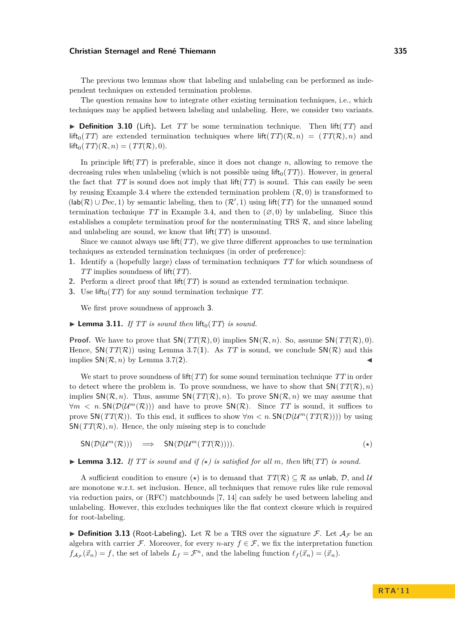The previous two lemmas show that labeling and unlabeling can be performed as independent techniques on extended termination problems.

The question remains how to integrate other existing termination techniques, i.e., which techniques may be applied between labeling and unlabeling. Here, we consider two variants.

 $\triangleright$  **Definition 3.10** (Lift). Let *TT* be some termination technique. Then lift(*TT*) and lift<sub>0</sub>(*TT*) are extended termination techniques where lift(*TT*)( $\mathcal{R}, n$ ) = (*TT*( $\mathcal{R}$ )*, n*) and  $\text{lift}_0(TT)(\mathcal{R}, n) = (TT(\mathcal{R}), 0).$ 

In principle lift(*TT*) is preferable, since it does not change *n*, allowing to remove the decreasing rules when unlabeling (which is not possible using lift<sub>0</sub>( $TT$ )). However, in general the fact that  $TT$  is sound does not imply that lift $(TT)$  is sound. This can easily be seen by reusing Example [3.4](#page-4-1) where the extended termination problem  $(\mathcal{R}, 0)$  is transformed to  $(lab(\mathcal{R}) \cup \mathcal{D}ec, 1)$  by semantic labeling, then to  $(\mathcal{R}', 1)$  using lift(*TT*) for the unnamed sound termination technique *TT* in Example [3.4,](#page-4-1) and then to  $(\emptyset, 0)$  by unlabeling. Since this establishes a complete termination proof for the nonterminating TRS  $\mathcal{R}$ , and since labeling and unlabeling are sound, we know that lift(*TT*) is unsound.

Since we cannot always use lift(*TT*), we give three different approaches to use termination techniques as extended termination techniques (in order of preference):

- **1.** Identify a (hopefully large) class of termination techniques *TT* for which soundness of *TT* implies soundness of lift(*TT*).
- **2.** Perform a direct proof that lift(*TT*) is sound as extended termination technique.
- <span id="page-6-0"></span>**3.** Use lift<sub>0</sub>( $TT$ ) for any sound termination technique  $TT$ .

We first prove soundness of approach **[3](#page-6-0)**.

 $\blacktriangleright$  **Lemma 3.11.** *If TT is sound then* lift<sub>0</sub>(*TT*) *is sound.* 

**Proof.** We have to prove that  $SN(TT(\mathcal{R}), 0)$  implies  $SN(\mathcal{R}, n)$ . So, assume  $SN(TT(\mathcal{R}), 0)$ . Hence,  $SN(TT(\mathcal{R}))$  using Lemma [3.7\(](#page-0-0)[1](#page-5-0)). As TT is sound, we conclude  $SN(\mathcal{R})$  and this implies  $SN(\mathcal{R}, n)$  by Lemma [3.7\(](#page-0-0)[2](#page-5-1)).

We start to prove soundness of lift(*TT*) for some sound termination technique *TT* in order to detect where the problem is. To prove soundness, we have to show that  $SN(TT(\mathcal{R}), n)$ implies  $\mathsf{SN}(\mathcal{R}, n)$ . Thus, assume  $\mathsf{SN}(TT(\mathcal{R}), n)$ . To prove  $\mathsf{SN}(\mathcal{R}, n)$  we may assume that  $\forall m \leq n$ . SN( $\mathcal{D}(\mathcal{U}^m(\mathcal{R}))$ ) and have to prove SN( $\mathcal{R}$ ). Since TT is sound, it suffices to prove  $\mathsf{SN}(TT(\mathcal{R}))$ . To this end, it suffices to show  $\forall m < n$ .  $\mathsf{SN}(D(\mathcal{U}^m(TT(\mathcal{R}))))$  by using  $SN(TT(\mathcal{R}), n)$ . Hence, the only missing step is to conclude

<span id="page-6-1"></span> $SN(\mathcal{D}(\mathcal{U}^m(\mathcal{R}))) \implies SN(\mathcal{D}(\mathcal{U}^m(TT(\mathcal{R}))))$ . (\*)

<span id="page-6-2"></span> $\blacktriangleright$  **Lemma 3.12.** *If TT is sound and if*  $(\star)$  *is satisfied for all m, then* lift(*TT*) *is sound.* 

A sufficient condition to ensure ( $\star$ ) is to demand that  $TT(\mathcal{R}) \subseteq \mathcal{R}$  as unlab,  $\mathcal{D}$ , and  $\mathcal{U}$ are monotone w.r.t. set inclusion. Hence, all techniques that remove rules like rule removal via reduction pairs, or (RFC) matchbounds [\[7,](#page-15-13) [14\]](#page-15-14) can safely be used between labeling and unlabeling. However, this excludes techniques like the flat context closure which is required for root-labeling.

**Definition 3.13** (Root-Labeling). Let R be a TRS over the signature F. Let  $\mathcal{A}_\mathcal{F}$  be an algebra with carrier F. Moreover, for every *n*-ary  $f \in \mathcal{F}$ , we fix the interpretation function  $f_{\mathcal{A}_{\mathcal{F}}}(\vec{x}_n) = f$ , the set of labels  $L_f = \mathcal{F}^n$ , and the labeling function  $\ell_f(\vec{x}_n) = (\vec{x}_n)$ .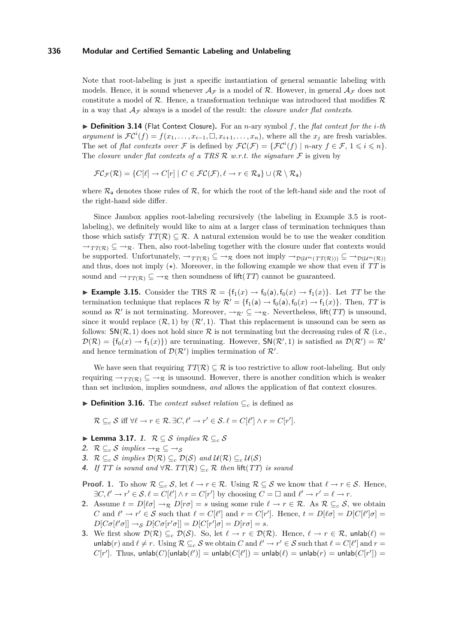Note that root-labeling is just a specific instantiation of general semantic labeling with models. Hence, it is sound whenever  $\mathcal{A}_{\mathcal{F}}$  is a model of R. However, in general  $\mathcal{A}_{\mathcal{F}}$  does not constitute a model of  $\mathcal R$ . Hence, a transformation technique was introduced that modifies  $\mathcal R$ in a way that  $A_{\mathcal{F}}$  always is a model of the result: the *closure under flat contexts*.

I **Definition 3.14** (Flat Context Closure)**.** For an *n*-ary symbol *f*, the *flat context for the i-th argument* is  $\mathcal{FC}^{i}(f) = f(x_1, \ldots, x_{i-1}, \Box, x_{i+1}, \ldots, x_n)$ , where all the  $x_j$  are fresh variables. The set of *flat contexts over*  $\mathcal F$  is defined by  $\mathcal{FC}(\mathcal F) = {\{\mathcal{FC}^i(f) \mid n\text{-ary } f \in \mathcal F, 1 \leqslant i \leqslant n\}}.$ The *closure under flat contexts of a TRS R w.r.t. the signature*  $\mathcal F$  is given by

$$
\mathcal{FC}_{\mathcal{F}}(\mathcal{R}) = \{ C[\ell] \to C[r] \mid C \in \mathcal{FC}(\mathcal{F}), \ell \to r \in \mathcal{R}_{a} \} \cup (\mathcal{R} \setminus \mathcal{R}_{a})
$$

where  $\mathcal{R}_{a}$  denotes those rules of  $\mathcal{R}$ , for which the root of the left-hand side and the root of the right-hand side differ.

Since Jambox applies root-labeling recursively (the labeling in Example [3.5](#page-4-2) is rootlabeling), we definitely would like to aim at a larger class of termination techniques than those which satisfy  $TT(\mathcal{R}) \subseteq \mathcal{R}$ . A natural extension would be to use the weaker condition  $\rightarrow_{TT(\mathcal{R})} \subseteq \rightarrow_{\mathcal{R}}$ . Then, also root-labeling together with the closure under flat contexts would be supported. Unfortunately,  $\rightarrow_{TT(\mathcal{R})} \subseteq \rightarrow_{\mathcal{R}}$  does not imply  $\rightarrow_{\mathcal{D}(\mathcal{U}^m(TT(\mathcal{R})))} \subseteq \rightarrow_{\mathcal{D}(\mathcal{U}^m(\mathcal{R}))}$ and thus, does not imply  $(\star)$ . Moreover, in the following example we show that even if  $TT$  is sound and  $\rightarrow_{TT(\mathcal{R})} \subseteq \rightarrow_{\mathcal{R}}$  then soundness of lift(*TT*) cannot be guaranteed.

► **Example 3.15.** Consider the TRS  $\mathcal{R} = \{f_1(x) \to f_0(a), f_0(x) \to f_1(x)\}\.$  Let *TT* be the termination technique that replaces  $\mathcal{R}$  by  $\mathcal{R}' = \{f_1(a) \to f_0(a), f_0(x) \to f_1(x)\}\.$  Then, TT is sound as  $\mathcal{R}'$  is not terminating. Moreover,  $\rightarrow_{\mathcal{R}'} \subseteq \rightarrow_{\mathcal{R}}$ . Nevertheless, lift(*TT*) is unsound, since it would replace  $(R, 1)$  by  $(R', 1)$ . That this replacement is unsound can be seen as follows:  $\mathsf{SN}(\mathcal{R},1)$  does not hold since  $\mathcal R$  is not terminating but the decreasing rules of  $\mathcal R$  (i.e.,  $\mathcal{D}(\mathcal{R}) = \{f_0(x) \to f_1(x)\}\)$  are terminating. However,  $\mathsf{SN}(\mathcal{R}', 1)$  is satisfied as  $\mathcal{D}(\mathcal{R}') = \mathcal{R}'$ and hence termination of  $\mathcal{D}(\mathcal{R}')$  implies termination of  $\mathcal{R}'$ .

We have seen that requiring  $TT(\mathcal{R}) \subseteq \mathcal{R}$  is too restrictive to allow root-labeling. But only requiring  $\rightarrow_{TT(\mathcal{R})} \subseteq \rightarrow_{\mathcal{R}}$  is unsound. However, there is another condition which is weaker than set inclusion, implies soundness, *and* allows the application of flat context closures.

**► Definition 3.16.** The *context subset relation*  $\subseteq_c$  is defined as

 $\mathcal{R} \subseteq_c \mathcal{S}$  iff  $\forall \ell \to r \in \mathcal{R}$ .  $\exists C, \ell' \to r' \in \mathcal{S}$ .  $\ell = C[\ell'] \wedge r = C[r']$ .

- I **Lemma 3.17. 1.** R ⊆ S *implies* R ⊆*<sup>c</sup>* S
- <span id="page-7-1"></span>2.  $\mathcal{R} \subseteq_c \mathcal{S}$  *implies*  $\rightarrow_{\mathcal{R}} \subseteq \rightarrow_{\mathcal{S}}$
- <span id="page-7-0"></span>**3.**  $\mathcal{R} \subseteq_c \mathcal{S}$  *implies*  $\mathcal{D}(\mathcal{R}) \subseteq_c \mathcal{D}(\mathcal{S})$  *and*  $\mathcal{U}(\mathcal{R}) \subseteq_c \mathcal{U}(\mathcal{S})$
- <span id="page-7-2"></span>**4.** *If*  $TT$  *is sound and* ∀R.  $TT(R) \subseteq_c R$  *then* lift( $TT$ *) is sound*

**Proof. 1.** To show  $\mathcal{R} \subseteq_c \mathcal{S}$ , let  $\ell \to r \in \mathcal{R}$ . Using  $\mathcal{R} \subseteq \mathcal{S}$  we know that  $\ell \to r \in \mathcal{S}$ . Hence,  $\exists C, \ell' \to r' \in \mathcal{S}.\ell = C[\ell'] \land r = C[r']$  by choosing  $C = \square$  and  $\ell' \to r' = \ell \to r$ .

- **2.** Assume  $t = D[\ell \sigma] \rightarrow \mathbb{R}$   $D[r\sigma] = s$  using some rule  $\ell \rightarrow r \in \mathbb{R}$ . As  $\mathcal{R} \subseteq_c \mathcal{S}$ , we obtain *C* and  $\ell' \to r' \in S$  such that  $\ell = C[\ell']$  and  $r = C[r']$ . Hence,  $t = D[\ell \sigma] = D[C[\ell'] \sigma] =$  $D[C\sigma[\ell'\sigma]] \rightarrow_S D[C\sigma[r'\sigma]] = D[C[r']\sigma] = D[r\sigma] = s.$
- **3.** We first show  $\mathcal{D}(\mathcal{R}) \subseteq_c \mathcal{D}(\mathcal{S})$ . So, let  $\ell \to r \in \mathcal{D}(\mathcal{R})$ . Hence,  $\ell \to r \in \mathcal{R}$ , unlab $(\ell)$  = unlab(*r*) and  $\ell \neq r$ . Using  $\mathcal{R} \subseteq_c \mathcal{S}$  we obtain *C* and  $\ell' \to r' \in \mathcal{S}$  such that  $\ell = C[\ell']$  and  $r =$  $C[r']$ . Thus, unlab $(C)$ [unlab $(\ell')$ ] = unlab $(C[\ell'])$  = unlab $(\ell)$  = unlab $(r)$  = unlab $(C[r'])$  =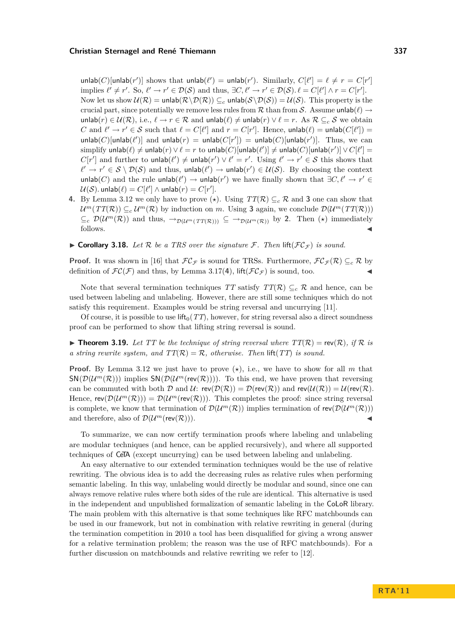$\text{unlab}(C)[\text{unlab}(r')]$  shows that  $\text{unlab}(\ell') = \text{unlab}(r')$ . Similarly,  $C[\ell'] = \ell \neq r = C[r']$ implies  $\ell' \neq r'$ . So,  $\ell' \to r' \in \mathcal{D}(\mathcal{S})$  and thus,  $\exists C, \ell' \to r' \in \mathcal{D}(\mathcal{S})$ .  $\ell = C[\ell'] \land r = C[r']$ . Now let us show  $\mathcal{U}(\mathcal{R}) = \text{unlab}(\mathcal{R} \setminus \mathcal{D}(\mathcal{R})) \subseteq_c \text{unlab}(\mathcal{S} \setminus \mathcal{D}(\mathcal{S})) = \mathcal{U}(\mathcal{S})$ . This property is the crucial part, since potentially we remove less rules from  $R$  than from  $S$ . Assume unlab $(\ell) \rightarrow$ unlab(*r*) ∈  $U(\mathcal{R})$ , i.e.,  $\ell \to r \in \mathcal{R}$  and unlab( $\ell$ )  $\neq$  unlab(*r*)  $\lor$   $\ell = r$ . As  $\mathcal{R} \subseteq_c \mathcal{S}$  we obtain *C* and  $\ell' \to r' \in S$  such that  $\ell = C[\ell']$  and  $r = C[r']$ . Hence, unlab $(\ell) = \text{unlab}(C[\ell']) =$  $\text{unlab}(C)$ [unlab $(\ell')$ ] and  $\text{unlab}(r) = \text{unlab}(C[r']) = \text{unlab}(C)$ [unlab $(r')$ ]. Thus, we can  $\text{simplicity unlab}(\ell) \neq \text{unlab}(r) \lor \ell = r \text{ to unlab}(C)[\text{unlab}(\ell')] \neq \text{unlab}(C)[\text{unlab}(r')] \lor C[\ell'] = 0$  $C[r']$  and further to unlab $(\ell') \neq$  unlab $(r') \vee \ell' = r'$ . Using  $\ell' \to r' \in S$  this shows that  $\ell' \to r' \in S \setminus \mathcal{D}(S)$  and thus, unlab $(\ell') \to \text{unlab}(r') \in \mathcal{U}(S)$ . By choosing the context unlab(*C*) and the rule unlab( $\ell'$ ) → unlab( $r'$ ) we have finally shown that  $\exists C, \ell' \rightarrow r' \in$  $\mathcal{U}(\mathcal{S})$ . unlab $(\ell) = C[\ell'] \wedge \mathsf{unlab}(r) = C[r']$ .

- **4.** By Lemma [3.12](#page-6-2) we only have to prove  $(\star)$ . Using  $TT(\mathcal{R}) \subseteq_c \mathcal{R}$  and **[3](#page-7-0)** one can show that  $\mathcal{U}^m(TT(\mathcal{R})) \subseteq_c \mathcal{U}^m(\mathcal{R})$  by induction on *m*. Using [3](#page-7-0) again, we conclude  $\mathcal{D}(\mathcal{U}^m(TT(\mathcal{R})))$  $\subseteq_c \mathcal{D}(\mathcal{U}^m(\mathcal{R}))$  and thus,  $\rightarrow_{\mathcal{D}(\mathcal{U}^m(T(\mathcal{R})))} \subseteq \rightarrow_{\mathcal{D}(\mathcal{U}^m(\mathcal{R}))}$  by [2](#page-7-1). Then  $(\star)$  immediately follows.  $\triangleleft$
- $\triangleright$  **Corollary 3.18.** Let R be a TRS over the signature F. Then lift( $FC_{\mathcal{F}}$ ) is sound.

**Proof.** It was shown in [\[16\]](#page-15-15) that  $FC_F$  is sound for TRSs. Furthermore,  $FC_F(\mathcal{R}) \subseteq_c \mathcal{R}$  by definition of  $\mathcal{FC}(\mathcal{F})$  and thus, by Lemma [3.17\(](#page-0-0)[4](#page-7-2)), lift( $\mathcal{FC}_{\mathcal{F}}$ ) is sound, too.

Note that several termination techniques *TT* satisfy  $TT(\mathcal{R}) \subseteq_c \mathcal{R}$  and hence, can be used between labeling and unlabeling. However, there are still some techniques which do not satisfy this requirement. Examples would be string reversal and uncurrying [\[11\]](#page-15-16).

Of course, it is possible to use lift<sub>0</sub> $(TT)$ , however, for string reversal also a direct soundness proof can be performed to show that lifting string reversal is sound.

 $\triangleright$  **Theorem 3.19.** Let TT be the technique of string reversal where  $TT(\mathcal{R}) = \text{rev}(\mathcal{R})$ , if R is *a string rewrite system, and*  $TT(\mathcal{R}) = \mathcal{R}$ , *otherwise. Then* lift(*TT*) *is sound.* 

**Proof.** By Lemma [3.12](#page-6-2) we just have to prove  $(\star)$ , i.e., we have to show for all m that  $\mathsf{SN}(\mathcal{D}(\mathcal{U}^m(\mathcal{R})))$  implies  $\mathsf{SN}(\mathcal{D}(\mathcal{U}^m(\mathsf{rev}(\mathcal{R}))))$ . To this end, we have proven that reversing can be commuted with both  $\mathcal D$  and  $\mathcal U: \text{rev}(\mathcal D(\mathcal R)) = \mathcal D(\text{rev}(\mathcal R))$  and  $\text{rev}(\mathcal U(\mathcal R)) = \mathcal U(\text{rev}(\mathcal R)).$ Hence,  $rev(\mathcal{D}(\mathcal{U}^m(\mathcal{R}))) = \mathcal{D}(\mathcal{U}^m(rev(\mathcal{R})))$ . This completes the proof: since string reversal is complete, we know that termination of  $\mathcal{D}(\mathcal{U}^m(\mathcal{R}))$  implies termination of  $rev(\mathcal{D}(\mathcal{U}^m(\mathcal{R})))$ and therefore, also of  $\mathcal{D}(\mathcal{U}^m(\text{rev}(\mathcal{R})))$ .

To summarize, we can now certify termination proofs where labeling and unlabeling are modular techniques (and hence, can be applied recursively), and where all supported techniques of CeTA (except uncurrying) can be used between labeling and unlabeling.

An easy alternative to our extended termination techniques would be the use of relative rewriting. The obvious idea is to add the decreasing rules as relative rules when performing semantic labeling. In this way, unlabeling would directly be modular and sound, since one can always remove relative rules where both sides of the rule are identical. This alternative is used in the independent and unpublished formalization of semantic labeling in the CoLoR library. The main problem with this alternative is that some techniques like RFC matchbounds can be used in our framework, but not in combination with relative rewriting in general (during the termination competition in 2010 a tool has been disqualified for giving a wrong answer for a relative termination problem; the reason was the use of RFC matchbounds). For a further discussion on matchbounds and relative rewriting we refer to [\[12\]](#page-15-17).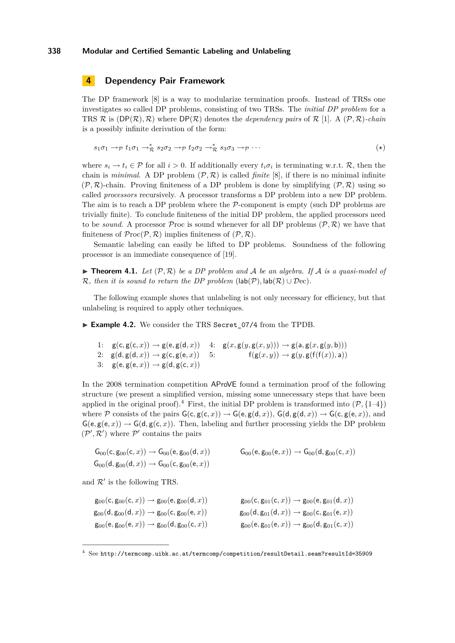# <span id="page-9-1"></span>**4 Dependency Pair Framework**

The DP framework [\[8\]](#page-15-18) is a way to modularize termination proofs. Instead of TRSs one investigates so called DP problems, consisting of two TRSs. The *initial DP problem* for a TRS  $\mathcal R$  is  $(DP(\mathcal R), \mathcal R)$  where  $DP(\mathcal R)$  denotes the *dependency pairs* of  $\mathcal R$  [\[1\]](#page-15-7). A  $(\mathcal P, \mathcal R)$ *-chain* is a possibly infinite derivation of the form:

$$
s_1 \sigma_1 \to p \ t_1 \sigma_1 \to^*_{\mathcal{R}} s_2 \sigma_2 \to p \ t_2 \sigma_2 \to^*_{\mathcal{R}} s_3 \sigma_3 \to p \cdots \tag{*}
$$

where  $s_i \to t_i \in \mathcal{P}$  for all  $i > 0$ . If additionally every  $t_i \sigma_i$  is terminating w.r.t.  $\mathcal{R}$ , then the chain is *minimal*. A DP problem  $(\mathcal{P}, \mathcal{R})$  is called *finite* [\[8\]](#page-15-18), if there is no minimal infinite  $(\mathcal{P}, \mathcal{R})$ -chain. Proving finiteness of a DP problem is done by simplifying  $(\mathcal{P}, \mathcal{R})$  using so called *processors* recursively. A processor transforms a DP problem into a new DP problem. The aim is to reach a DP problem where the  $P$ -component is empty (such DP problems are trivially finite). To conclude finiteness of the initial DP problem, the applied processors need to be *sound*. A processor Proc is sound whenever for all DP problems  $(\mathcal{P}, \mathcal{R})$  we have that finiteness of  $\mathcal{P}\text{roc}(\mathcal{P}, \mathcal{R})$  implies finiteness of  $(\mathcal{P}, \mathcal{R})$ .

Semantic labeling can easily be lifted to DP problems. Soundness of the following processor is an immediate consequence of [\[19\]](#page-15-5).

<span id="page-9-5"></span> $\blacktriangleright$  **Theorem 4.1.** Let  $(\mathcal{P}, \mathcal{R})$  be a DP problem and A be an algebra. If A is a quasi-model of R, then it is sound to return the DP problem  $(\text{lab}(\mathcal{P}), \text{lab}(\mathcal{R}) \cup \mathcal{D}ec)$ .

The following example shows that unlabeling is not only necessary for efficiency, but that unlabeling is required to apply other techniques.

<span id="page-9-0"></span>► Example 4.2. We consider the TRS Secret 07/4 from the TPDB.

```
1: g(c, g(c, x)) \rightarrow g(e, g(d, x))2: g(d, g(d, x)) \rightarrow g(c, g(e, x))3: g(e, g(e, x)) \rightarrow g(d, g(c, x))4: g(x, g(y, g(x, y))) \rightarrow g(a, g(x, g(y, b)))5: f(g(x, y)) \rightarrow g(y, g(f(f(x)), a))
```
<span id="page-9-4"></span>In the 2008 termination competition AProVE found a termination proof of the following structure (we present a simplified version, missing some unnecessary steps that have been applied in the original proof).<sup>[4](#page-9-3)</sup> First, the initial DP problem is transformed into  $(\mathcal{P}, \{1-4\})$ where P consists of the pairs  $G(c, g(c, x)) \to G(e, g(d, x))$ ,  $G(d, g(d, x)) \to G(c, g(e, x))$ , and  $G(e, g(e, x)) \rightarrow G(d, g(c, x))$ . Then, labeling and further processing yields the DP problem  $(\mathcal{P}', \mathcal{R}')$  where  $\mathcal{P}'$  contains the pairs

$$
G_{00}(c, g_{00}(c, x)) \to G_{00}(e, g_{00}(d, x))
$$
  
\n
$$
G_{00}(e, g_{00}(e, x)) \to G_{00}(d, g_{00}(c, x))
$$
  
\n
$$
G_{00}(d, g_{00}(d, x)) \to G_{00}(c, g_{00}(e, x))
$$

and  $\mathcal{R}'$  is the following TRS.

$$
g_{00}(c, g_{00}(c, x)) \rightarrow g_{00}(e, g_{00}(d, x))
$$
  
\n
$$
g_{00}(d, g_{00}(d, x)) \rightarrow g_{00}(c, g_{00}(e, x))
$$
  
\n
$$
g_{00}(d, g_{01}(d, x)) \rightarrow g_{00}(c, g_{01}(e, x))
$$
  
\n
$$
g_{00}(d, g_{01}(d, x)) \rightarrow g_{00}(c, g_{01}(e, x))
$$
  
\n
$$
g_{00}(e, g_{01}(e, x)) \rightarrow g_{00}(d, g_{01}(c, x))
$$
  
\n
$$
g_{00}(e, g_{01}(e, x)) \rightarrow g_{00}(d, g_{01}(c, x))
$$

 $4$  See <http://termcomp.uibk.ac.at/termcomp/competition/resultDetail.seam?resultId=35909>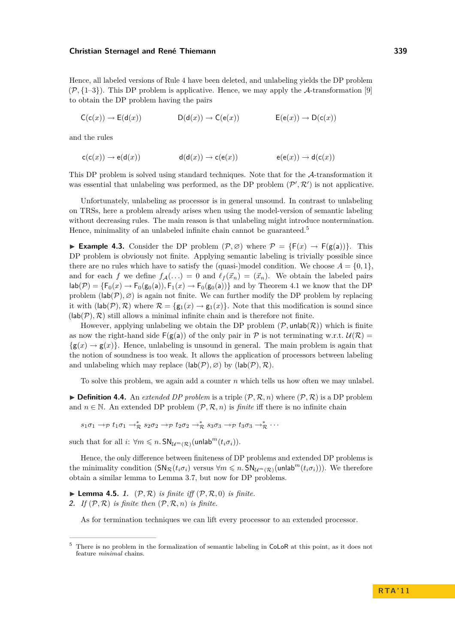Hence, all labeled versions of Rule [4](#page-9-3) have been deleted, and unlabeling yields the DP problem  $(\mathcal{P}, \{1-3\})$  $(\mathcal{P}, \{1-3\})$  $(\mathcal{P}, \{1-3\})$ . This DP problem is applicative. Hence, we may apply the A-transformation [\[9\]](#page-15-19) to obtain the DP problem having the pairs

 $C(c(x)) \rightarrow E(d(x))$   $D(d(x)) \rightarrow C(e(x))$   $E(e(x)) \rightarrow D(c(x))$ 

and the rules

$$
\mathsf{c}(\mathsf{c}(x)) \to \mathsf{e}(\mathsf{d}(x)) \qquad \qquad \mathsf{d}(\mathsf{d}(x)) \to \mathsf{c}(\mathsf{e}(x)) \qquad \qquad \mathsf{e}(\mathsf{e}(x)) \to \mathsf{d}(\mathsf{c}(x))
$$

This DP problem is solved using standard techniques. Note that for the A-transformation it was essential that unlabeling was performed, as the DP problem  $(\mathcal{P}', \mathcal{R}')$  is not applicative.

Unfortunately, unlabeling as processor is in general unsound. In contrast to unlabeling on TRSs, here a problem already arises when using the model-version of semantic labeling without decreasing rules. The main reason is that unlabeling might introduce nontermination. Hence, minimality of an unlabeled infinite chain cannot be guaranteed.<sup>5</sup>

**► Example 4.3.** Consider the DP problem  $(\mathcal{P}, \emptyset)$  where  $\mathcal{P} = \{F(x) \rightarrow F(g(a))\}$ . This DP problem is obviously not finite. Applying semantic labeling is trivially possible since there are no rules which have to satisfy the (quasi-)model condition. We choose  $A = \{0, 1\}$ , and for each *f* we define  $f_A(...) = 0$  and  $\ell_f(\vec{x}_n) = (\vec{x}_n)$ . We obtain the labeled pairs  $\textsf{lab}(\mathcal{P}) = \{\mathsf{F}_0(x) \to \mathsf{F}_0(\mathsf{g}_0(a)), \mathsf{F}_1(x) \to \mathsf{F}_0(\mathsf{g}_0(a))\}$  and by Theorem [4.1](#page-9-5) we know that the DP problem  $(\textsf{lab}(\mathcal{P}), \varnothing)$  is again not finite. We can further modify the DP problem by replacing it with  $(\text{lab}(\mathcal{P}), \mathcal{R})$  where  $\mathcal{R} = \{g_1(x) \to g_1(x)\}\$ . Note that this modification is sound since  $(lab(\mathcal{P}), \mathcal{R})$  still allows a minimal infinite chain and is therefore not finite.

However, applying unlabeling we obtain the DP problem  $(\mathcal{P}, \text{unlab}(\mathcal{R}))$  which is finite as now the right-hand side  $F(g(a))$  of the only pair in P is not terminating w.r.t.  $U(\mathcal{R}) =$  $\{g(x) \rightarrow g(x)\}\.$  Hence, unlabeling is unsound in general. The main problem is again that the notion of soundness is too weak. It allows the application of processors between labeling and unlabeling which may replace  $(\textsf{lab}(\mathcal{P}), \varnothing)$  by  $(\textsf{lab}(\mathcal{P}), \mathcal{R})$ .

To solve this problem, we again add a counter *n* which tells us how often we may unlabel.

 $\triangleright$  **Definition 4.4.** An *extended DP problem* is a triple  $(\mathcal{P}, \mathcal{R}, n)$  where  $(\mathcal{P}, \mathcal{R})$  is a DP problem and  $n \in \mathbb{N}$ . An extended DP problem  $(\mathcal{P}, \mathcal{R}, n)$  is *finite* iff there is no infinite chain

 $s_1\sigma_1 \rightarrow p \ t_1\sigma_1 \rightarrow^*_{\mathcal{R}} s_2\sigma_2 \rightarrow p \ t_2\sigma_2 \rightarrow^*_{\mathcal{R}} s_3\sigma_3 \rightarrow p \ t_3\sigma_3 \rightarrow^*_{\mathcal{R}} \cdots$ 

such that for all  $i: \forall m \leq n$ .  $SN_{\mathcal{U}^m(\mathcal{R})}(\text{unlab}^m(t_i \sigma_i)).$ 

Hence, the only difference between finiteness of DP problems and extended DP problems is the minimality condition  $(SN_R(t_i\sigma_i)$  versus  $\forall m \leq n$ .  $SN_{U^m(\mathcal{R})}(unlab^m(t_i\sigma_i))$ . We therefore obtain a similar lemma to Lemma [3.7,](#page-0-0) but now for DP problems.

<span id="page-10-1"></span><span id="page-10-0"></span> $\blacktriangleright$  **Lemma 4.5.** 1.  $(\mathcal{P}, \mathcal{R})$  *is finite iff*  $(\mathcal{P}, \mathcal{R}, 0)$  *is finite.* **2.** *If*  $(P, R)$  *is finite then*  $(P, R, n)$  *is finite.* 

As for termination techniques we can lift every processor to an extended processor.

 $5$  There is no problem in the formalization of semantic labeling in CoLoR at this point, as it does not feature *minimal* chains.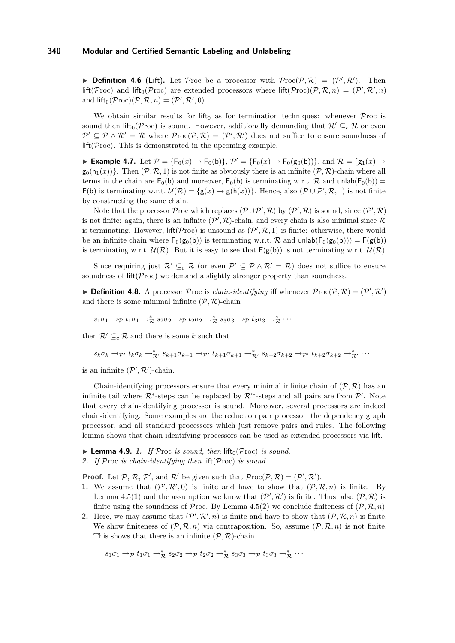**Definition 4.6** (Lift). Let Proc be a processor with  $\mathcal{P}roc(\mathcal{P}, \mathcal{R}) = (\mathcal{P}', \mathcal{R}')$ . Then  $\text{lift}(\mathcal{P} \text{roc})$  and  $\text{lift}_0(\mathcal{P} \text{roc})$  are extended processors where  $\text{lift}(\mathcal{P} \text{roc})(\mathcal{P}, \mathcal{R}, n) = (\mathcal{P}', \mathcal{R}', n)$ and  $\text{lift}_0(\mathcal{P} \text{roc})(\mathcal{P}, \mathcal{R}, n) = (\mathcal{P}', \mathcal{R}', 0).$ 

We obtain similar results for lift<sub>0</sub> as for termination techniques: whenever  $\mathcal P$ roc is sound then lift<sub>0</sub>(Proc) is sound. However, additionally demanding that  $\mathcal{R}' \subseteq_c \mathcal{R}$  or even  $\mathcal{P}' \subseteq \mathcal{P} \wedge \mathcal{R}' = \mathcal{R}$  where  $\mathcal{P}roc(\mathcal{P}, \mathcal{R}) = (\mathcal{P}', \mathcal{R}')$  does not suffice to ensure soundness of  $lift(\mathcal{P}roc)$ . This is demonstrated in the upcoming example.

► Example 4.7. Let  $P = {F_0(x) \to F_0(b)}, P' = {F_0(x) \to F_0(g_0(b))}, \text{ and } R = {g_1(x) \to g_2(a,b)}$  $g_0(h_1(x))$ . Then  $(\mathcal{P}, \mathcal{R}, 1)$  is not finite as obviously there is an infinite  $(\mathcal{P}, \mathcal{R})$ -chain where all terms in the chain are  $F_0(b)$  and moreover,  $F_0(b)$  is terminating w.r.t. R and unlab( $F_0(b)$ ) =  $\mathsf{F}(\mathsf{b})$  is terminating w.r.t.  $\mathcal{U}(\mathcal{R}) = \{\mathsf{g}(x) \to \mathsf{g}(\mathsf{h}(x))\}.$  Hence, also  $(\mathcal{P} \cup \mathcal{P}', \mathcal{R}, 1)$  is not finite by constructing the same chain.

Note that the processor Proc which replaces  $(\mathcal{P} \cup \mathcal{P}', \mathcal{R})$  by  $(\mathcal{P}', \mathcal{R})$  is sound, since  $(\mathcal{P}', \mathcal{R})$ is not finite: again, there is an infinite  $(\mathcal{P}', \mathcal{R})$ -chain, and every chain is also minimal since  $\mathcal R$ is terminating. However,  $\text{lift}(\mathcal{P} \text{roc})$  is unsound as  $(\mathcal{P}', \mathcal{R}, 1)$  is finite: otherwise, there would be an infinite chain where  $F_0(g_0(b))$  is terminating w.r.t. R and unlab $(F_0(g_0(b))) = F(g(b))$ is terminating w.r.t.  $\mathcal{U}(\mathcal{R})$ . But it is easy to see that  $F(g(b))$  is not terminating w.r.t.  $\mathcal{U}(\mathcal{R})$ .

Since requiring just  $\mathcal{R}' \subseteq_c \mathcal{R}$  (or even  $\mathcal{P}' \subseteq \mathcal{P} \wedge \mathcal{R}' = \mathcal{R}$ ) does not suffice to ensure soundness of  $\text{lift}(\mathcal{P} \text{roc})$  we demand a slightly stronger property than soundness.

**Definition 4.8.** A processor Proc is *chain-identifying* iff whenever  $\mathcal{P}\text{roc}(\mathcal{P}, \mathcal{R}) = (\mathcal{P}', \mathcal{R}')$ and there is some minimal infinite  $(\mathcal{P}, \mathcal{R})$ -chain

$$
s_1\sigma_1 \to_{\mathcal{P}} t_1\sigma_1 \to_{\mathcal{R}}^* s_2\sigma_2 \to_{\mathcal{P}} t_2\sigma_2 \to_{\mathcal{R}}^* s_3\sigma_3 \to_{\mathcal{P}} t_3\sigma_3 \to_{\mathcal{R}}^* \cdots
$$

then  $\mathcal{R}' \subseteq_c \mathcal{R}$  and there is some *k* such that

$$
s_k \sigma_k \to_{\mathcal{P}'} t_k \sigma_k \to_{\mathcal{R}'}^* s_{k+1} \sigma_{k+1} \to_{\mathcal{P}'} t_{k+1} \sigma_{k+1} \to_{\mathcal{R}'}^* s_{k+2} \sigma_{k+2} \to_{\mathcal{P}'} t_{k+2} \sigma_{k+2} \to_{\mathcal{R}'}^* \cdots
$$

is an infinite  $(\mathcal{P}', \mathcal{R}')$ -chain.

Chain-identifying processors ensure that every minimal infinite chain of  $(\mathcal{P}, \mathcal{R})$  has an infinite tail where  $\mathcal{R}^*$ -steps can be replaced by  $\mathcal{R}'^*$ -steps and all pairs are from  $\mathcal{P}'$ . Note that every chain-identifying processor is sound. Moreover, several processors are indeed chain-identifying. Some examples are the reduction pair processor, the dependency graph processor, and all standard processors which just remove pairs and rules. The following lemma shows that chain-identifying processors can be used as extended processors via lift.

- $\blacktriangleright$  **Lemma 4.9.** 1. If Proc *is sound, then* lift<sub>0</sub>(Proc) *is sound.*
- **2.** *If* Proc *is chain-identifying then* lift(Proc) *is sound.*

**Proof.** Let P, R, P', and R' be given such that  $\mathcal{P}roc(\mathcal{P}, \mathcal{R}) = (\mathcal{P}', \mathcal{R}')$ .

- **1.** We assume that  $(\mathcal{P}', \mathcal{R}', 0)$  is finite and have to show that  $(\mathcal{P}, \mathcal{R}, n)$  is finite. By Lemma [4.5\(](#page-0-0)[1](#page-10-0)) and the assumption we know that  $(P', \mathcal{R}')$  is finite. Thus, also  $(\mathcal{P}, \mathcal{R})$  is finite using the soundness of Proc. By Lemma [4.5\(](#page-0-0)[2](#page-10-1)) we conclude finiteness of  $(\mathcal{P}, \mathcal{R}, n)$ .
- **2.** Here, we may assume that  $(\mathcal{P}', \mathcal{R}', n)$  is finite and have to show that  $(\mathcal{P}, \mathcal{R}, n)$  is finite. We show finiteness of  $(\mathcal{P}, \mathcal{R}, n)$  via contraposition. So, assume  $(\mathcal{P}, \mathcal{R}, n)$  is not finite. This shows that there is an infinite  $(\mathcal{P}, \mathcal{R})$ -chain

$$
s_1\sigma_1 \to_{\mathcal{P}} t_1\sigma_1 \to_{\mathcal{R}}^* s_2\sigma_2 \to_{\mathcal{P}} t_2\sigma_2 \to_{\mathcal{R}}^* s_3\sigma_3 \to_{\mathcal{P}} t_3\sigma_3 \to_{\mathcal{R}}^* \cdots
$$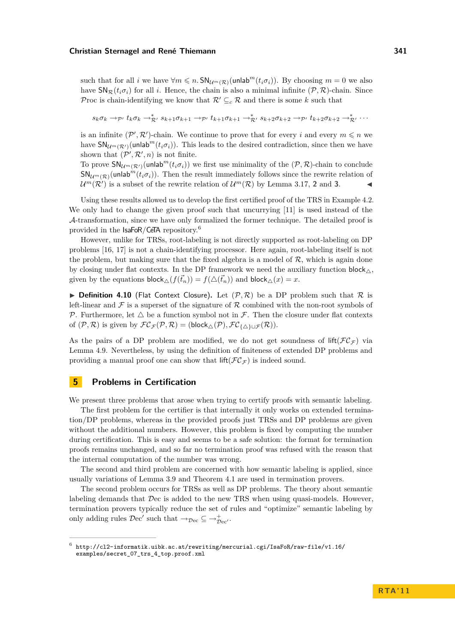such that for all *i* we have  $\forall m \leq n$ .  $\mathsf{SN}_{\mathcal{U}^m(\mathcal{R})}(\mathsf{unlab}^m(t_i \sigma_i))$ . By choosing  $m = 0$  we also have  $\mathsf{SN}_{\mathcal{R}}(t_i\sigma_i)$  for all *i*. Hence, the chain is also a minimal infinite  $(\mathcal{P}, \mathcal{R})$ -chain. Since Proc is chain-identifying we know that  $\mathcal{R}' \subseteq_c \mathcal{R}$  and there is some *k* such that

 $s_k \sigma_k \to_{\mathcal{P}'} t_k \sigma_k \to_{\mathcal{R}'}^* s_{k+1} \sigma_{k+1} \to_{\mathcal{P}'} t_{k+1} \sigma_{k+1} \to_{\mathcal{R}'}^* s_{k+2} \sigma_{k+2} \to_{\mathcal{P}'} t_{k+2} \sigma_{k+2} \to_{\mathcal{R}'}^* \cdots$ 

is an infinite  $(\mathcal{P}', \mathcal{R}')$ -chain. We continue to prove that for every *i* and every  $m \leq n$  we have  $\mathsf{SN}_{\mathcal{U}^m(\mathcal{R}')}(\mathsf{unlab}^m(t_i\sigma_i))$ . This leads to the desired contradiction, since then we have shown that  $(\mathcal{P}', \mathcal{R}', n)$  is not finite.

To prove  $\mathsf{SN}_{\mathcal{U}^m(\mathcal{R}')}(\mathsf{unlab}^m(t_i\sigma_i))$  we first use minimality of the  $(\mathcal{P}, \mathcal{R})$ -chain to conclude  $SN_{\mathcal{U}^{m}(\mathcal{R})}(\text{unlab}^{m}(t_{i}\sigma_{i}))$ . Then the result immediately follows since the rewrite relation of  $\mathcal{U}^m(\mathcal{R}')$  is a subset of the rewrite relation of  $\mathcal{U}^m(\mathcal{R})$  by Lemma [3.17,](#page-0-0) [2](#page-7-1) and [3](#page-7-0).

Using these results allowed us to develop the first certified proof of the TRS in Example [4.2.](#page-9-0) We only had to change the given proof such that uncurrying [\[11\]](#page-15-16) is used instead of the A-transformation, since we have only formalized the former technique. The detailed proof is provided in the IsaFoR/CeTA repository.<sup>6</sup>

However, unlike for TRSs, root-labeling is not directly supported as root-labeling on DP problems [\[16,](#page-15-15) [17\]](#page-15-20) is not a chain-identifying processor. Here again, root-labeling itself is not the problem, but making sure that the fixed algebra is a model of  $R$ , which is again done by closing under flat contexts. In the DP framework we need the auxiliary function block  $\wedge$ . given by the equations  $\text{block}_{\triangle}(f(\vec{t}_n)) = f(\triangle(\vec{t}_n))$  and  $\text{block}_{\triangle}(x) = x$ .

**Definition 4.10** (Flat Context Closure). Let  $(\mathcal{P}, \mathcal{R})$  be a DP problem such that  $\mathcal{R}$  is left-linear and  $\mathcal F$  is a superset of the signature of  $\mathcal R$  combined with the non-root symbols of P. Furthermore, let  $\triangle$  be a function symbol not in F. Then the closure under flat contexts of  $(\mathcal{P}, \mathcal{R})$  is given by  $\mathcal{FC}_{\mathcal{F}}(\mathcal{P}, \mathcal{R}) = (\text{block}_{\triangle}(\mathcal{P}), \mathcal{FC}_{\{\triangle\}\cup\mathcal{F}}(\mathcal{R})).$ 

As the pairs of a DP problem are modified, we do not get soundness of lift( $\mathcal{FC}_{\mathcal{F}}$ ) via Lemma [4.9.](#page-0-0) Nevertheless, by using the definition of finiteness of extended DP problems and providing a manual proof one can show that  $\text{lift}(\mathcal{FC}_{\mathcal{F}})$  is indeed sound.

# <span id="page-12-0"></span>**5 Problems in Certification**

We present three problems that arose when trying to certify proofs with semantic labeling.

The first problem for the certifier is that internally it only works on extended termination/DP problems, whereas in the provided proofs just TRSs and DP problems are given without the additional numbers. However, this problem is fixed by computing the number during certification. This is easy and seems to be a safe solution: the format for termination proofs remains unchanged, and so far no termination proof was refused with the reason that the internal computation of the number was wrong.

The second and third problem are concerned with how semantic labeling is applied, since usually variations of Lemma [3.9](#page-5-2) and Theorem [4.1](#page-9-5) are used in termination provers.

The second problem occurs for TRSs as well as DP problems. The theory about semantic labeling demands that Dec is added to the new TRS when using quasi-models. However, termination provers typically reduce the set of rules and "optimize" semantic labeling by only adding rules  $\mathcal{D}ec'$  such that  $\rightarrow_{\mathcal{D}ec} \subseteq \rightarrow_{\mathcal{D}ec'}^+$ .

<sup>6</sup> [http://cl2-informatik.uibk.ac.at/rewriting/mercurial.cgi/IsaFoR/raw-file/v1.16/](http://cl2-informatik.uibk.ac.at/rewriting/mercurial.cgi/IsaFoR/raw-file/v1.16/examples/secret_07_trs_4_top.proof.xml) [examples/secret\\_07\\_trs\\_4\\_top.proof.xml](http://cl2-informatik.uibk.ac.at/rewriting/mercurial.cgi/IsaFoR/raw-file/v1.16/examples/secret_07_trs_4_top.proof.xml)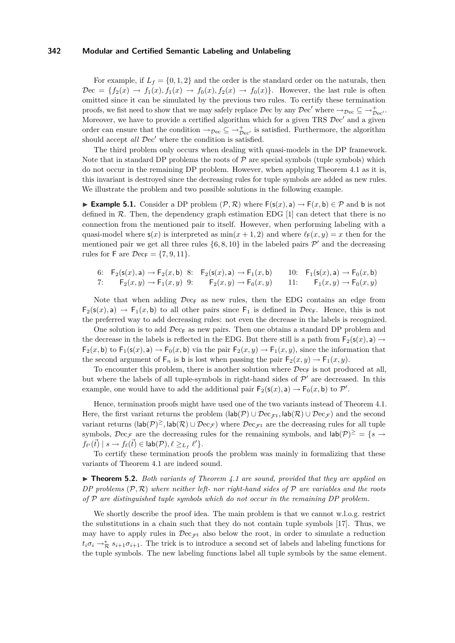For example, if  $L_f = \{0, 1, 2\}$  and the order is the standard order on the naturals, then  $\mathcal{D}$ ec = { $f_2(x) \rightarrow f_1(x), f_1(x) \rightarrow f_0(x), f_2(x) \rightarrow f_0(x)$ }. However, the last rule is often omitted since it can be simulated by the previous two rules. To certify these termination proofs, we fist need to show that we may safely replace  $\mathcal{D}$ ec by any  $\mathcal{D}$ ec' where  $\rightarrow_{\mathcal{D}ec} \subseteq \rightarrow_{\mathcal{D}ec'}^+$ . Moreover, we have to provide a certified algorithm which for a given TRS  $\mathcal{D}ec'$  and a given order can ensure that the condition  $\rightarrow_{\mathcal{D}ec} \subseteq \rightarrow_{\mathcal{D}ec'}^+$  is satisfied. Furthermore, the algorithm should accept *all*  $\mathcal{D}ec'$  where the condition is satisfied.

The third problem only occurs when dealing with quasi-models in the DP framework. Note that in standard DP problems the roots of  $P$  are special symbols (tuple symbols) which do not occur in the remaining DP problem. However, when applying Theorem [4.1](#page-9-5) as it is, this invariant is destroyed since the decreasing rules for tuple symbols are added as new rules. We illustrate the problem and two possible solutions in the following example.

**Example 5.1.** Consider a DP problem  $(\mathcal{P}, \mathcal{R})$  where  $F(s(x), a)$  →  $F(x, b) \in \mathcal{P}$  and b is not defined in  $\mathcal{R}$ . Then, the dependency graph estimation EDG [\[1\]](#page-15-7) can detect that there is no connection from the mentioned pair to itself. However, when performing labeling with a quasi-model where  $\mathsf{s}(x)$  is interpreted as  $\min(x+1,2)$  and where  $\ell_{\mathsf{F}}(x,y) = x$  then for the mentioned pair we get all three rules  $\{6, 8, 10\}$  $\{6, 8, 10\}$  $\{6, 8, 10\}$  $\{6, 8, 10\}$  $\{6, 8, 10\}$  $\{6, 8, 10\}$  $\{6, 8, 10\}$  in the labeled pairs  $\mathcal{P}'$  and the decreasing rules for F are  $\mathcal{D}ec_F = \{7, 9, 11\}.$  $\mathcal{D}ec_F = \{7, 9, 11\}.$  $\mathcal{D}ec_F = \{7, 9, 11\}.$  $\mathcal{D}ec_F = \{7, 9, 11\}.$  $\mathcal{D}ec_F = \{7, 9, 11\}.$  $\mathcal{D}ec_F = \{7, 9, 11\}.$  $\mathcal{D}ec_F = \{7, 9, 11\}.$ 

<span id="page-13-5"></span><span id="page-13-4"></span><span id="page-13-3"></span><span id="page-13-2"></span><span id="page-13-1"></span><span id="page-13-0"></span>6: 
$$
F_2(s(x), a) \to F_2(x, b)
$$
 8:  $F_2(s(x), a) \to F_1(x, b)$  10:  $F_1(s(x), a) \to F_0(x, b)$   
7:  $F_2(x, y) \to F_1(x, y)$  9:  $F_2(x, y) \to F_0(x, y)$  11:  $F_1(x, y) \to F_0(x, y)$ 

Note that when adding  $\mathcal{D}ec_{F}$  as new rules, then the EDG contains an edge from  $F_2(s(x), a) \to F_1(x, b)$  to all other pairs since  $F_1$  is defined in  $\mathcal{D}ec_F$ . Hence, this is not the preferred way to add decreasing rules: not even the decrease in the labels is recognized.

One solution is to add  $\mathcal{D}$ ec<sub>F</sub> as new pairs. Then one obtains a standard DP problem and the decrease in the labels is reflected in the EDG. But there still is a path from  $F_2(s(x), a) \rightarrow$  $F_2(x, b)$  to  $F_1(s(x), a) \to F_0(x, b)$  via the pair  $F_2(x, y) \to F_1(x, y)$ , since the information that the second argument of  $F_n$  is b is lost when passing the pair  $F_2(x, y) \to F_1(x, y)$ .

To encounter this problem, there is another solution where  $\mathcal{D}ec_{F}$  is not produced at all, but where the labels of all tuple-symbols in right-hand sides of  $\mathcal{P}'$  are decreased. In this example, one would have to add the additional pair  $\mathsf{F}_2(\mathsf{s}(x), \mathsf{a}) \to \mathsf{F}_0(x, \mathsf{b})$  to  $\mathcal{P}'$ .

Hence, termination proofs might have used one of the two variants instead of Theorem [4.1.](#page-9-5) Here, the first variant returns the problem  $(\text{lab}(\mathcal{P}) \cup \mathcal{D}ec_{\mathcal{F}^{\sharp}}, \text{lab}(\mathcal{R}) \cup \mathcal{D}ec_{\mathcal{F}})$  and the second variant returns  $(\textsf{lab}(\mathcal{P})^{\geq}, \textsf{lab}(\mathcal{R}) \cup \mathcal{D}\text{ec}_{\mathcal{F}})$  where  $\mathcal{D}\text{ec}_{\mathcal{F}^{\sharp}}$  are the decreasing rules for all tuple symbols,  $\mathcal{D}ec_{\mathcal{F}}$  are the decreasing rules for the remaining symbols, and  $\mathsf{lab}(\mathcal{P})^{\geq} = \{s \rightarrow$  $f_{\ell'}({\vec{t}}) \mid s \rightarrow f_{\ell}({\vec{t}}) \in \mathsf{lab}(\mathcal{P}), \ell \geq_{L_f} \ell' \}.$ 

To certify these termination proofs the problem was mainly in formalizing that these variants of Theorem [4.1](#page-9-5) are indeed sound.

<span id="page-13-6"></span>▶ **Theorem 5.2.** *Both variants of Theorem [4.1](#page-9-5) are sound, provided that they are applied on DP problems* (P*,* R) *where neither left- nor right-hand sides of* P *are variables and the roots of* P *are distinguished tuple symbols which do not occur in the remaining DP problem.*

We shortly describe the proof idea. The main problem is that we cannot w.l.o.g. restrict the substitutions in a chain such that they do not contain tuple symbols [\[17\]](#page-15-20). Thus, we may have to apply rules in  $\mathcal{D}\ll_{\mathcal{F}^{\sharp}}$  also below the root, in order to simulate a reduction  $t_i \sigma_i \to_{\mathcal{R}}^* s_{i+1} \sigma_{i+1}$ . The trick is to introduce a second set of labels and labeling functions for the tuple symbols. The new labeling functions label all tuple symbols by the same element.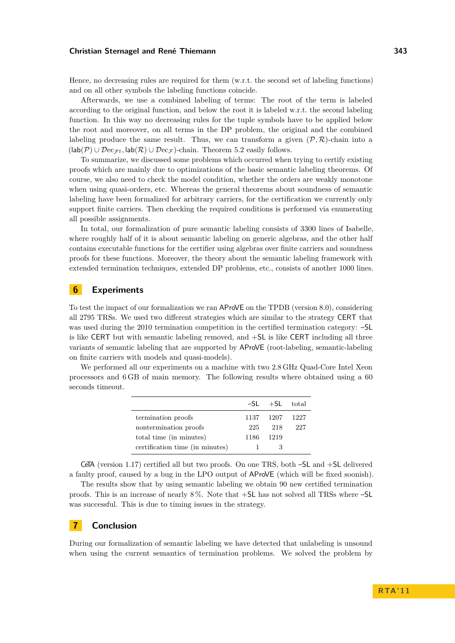Hence, no decreasing rules are required for them (w.r.t. the second set of labeling functions) and on all other symbols the labeling functions coincide.

Afterwards, we use a combined labeling of terms: The root of the term is labeled according to the original function, and below the root it is labeled w.r.t. the second labeling function. In this way no decreasing rules for the tuple symbols have to be applied below the root and moreover, on all terms in the DP problem, the original and the combined labeling produce the same result. Thus, we can transform a given  $(\mathcal{P}, \mathcal{R})$ -chain into a  $(\text{lab}(\mathcal{P}) \cup \mathcal{D}\text{ec}_{\mathcal{F}^{\sharp}}, \text{lab}(\mathcal{R}) \cup \mathcal{D}\text{ec}_{\mathcal{F}})$ -chain. Theorem [5.2](#page-13-6) easily follows.

To summarize, we discussed some problems which occurred when trying to certify existing proofs which are mainly due to optimizations of the basic semantic labeling theorems. Of course, we also need to check the model condition, whether the orders are weakly monotone when using quasi-orders, etc. Whereas the general theorems about soundness of semantic labeling have been formalized for arbitrary carriers, for the certification we currently only support finite carriers. Then checking the required conditions is performed via enumerating all possible assignments.

In total, our formalization of pure semantic labeling consists of 3300 lines of Isabelle, where roughly half of it is about semantic labeling on generic algebras, and the other half contains executable functions for the certifier using algebras over finite carriers and soundness proofs for these functions. Moreover, the theory about the semantic labeling framework with extended termination techniques, extended DP problems, etc., consists of another 1000 lines.

# <span id="page-14-0"></span>**6 Experiments**

To test the impact of our formalization we ran AProVE on the TPDB (version 8.0), considering all 2795 TRSs. We used two different strategies which are similar to the strategy CERT that was used during the 2010 termination competition in the certified termination category: –SL is like CERT but with semantic labeling removed, and +SL is like CERT including all three variants of semantic labeling that are supported by AProVE (root-labeling, semantic-labeling on finite carriers with models and quasi-models).

We performed all our experiments on a machine with two 2.8 GHz Quad-Core Intel Xeon processors and 6 GB of main memory. The following results where obtained using a 60 seconds timeout.

|                                 |      | $-SL$ $+SL$ total |         |
|---------------------------------|------|-------------------|---------|
| termination proofs              |      | 1137 1207         | -- 1227 |
| nontermination proofs           | 225  | 218               | 227     |
| total time (in minutes)         | 1186 | 1219              |         |
| certification time (in minutes) |      |                   |         |

CeTA (version 1.17) certified all but two proofs. On one TRS, both –SL and +SL delivered a faulty proof, caused by a bug in the LPO output of AProVE (which will be fixed soonish).

The results show that by using semantic labeling we obtain 90 new certified termination proofs. This is an increase of nearly 8 %. Note that +SL has not solved all TRSs where –SL was successful. This is due to timing issues in the strategy.

# <span id="page-14-1"></span>**7 Conclusion**

During our formalization of semantic labeling we have detected that unlabeling is unsound when using the current semantics of termination problems. We solved the problem by